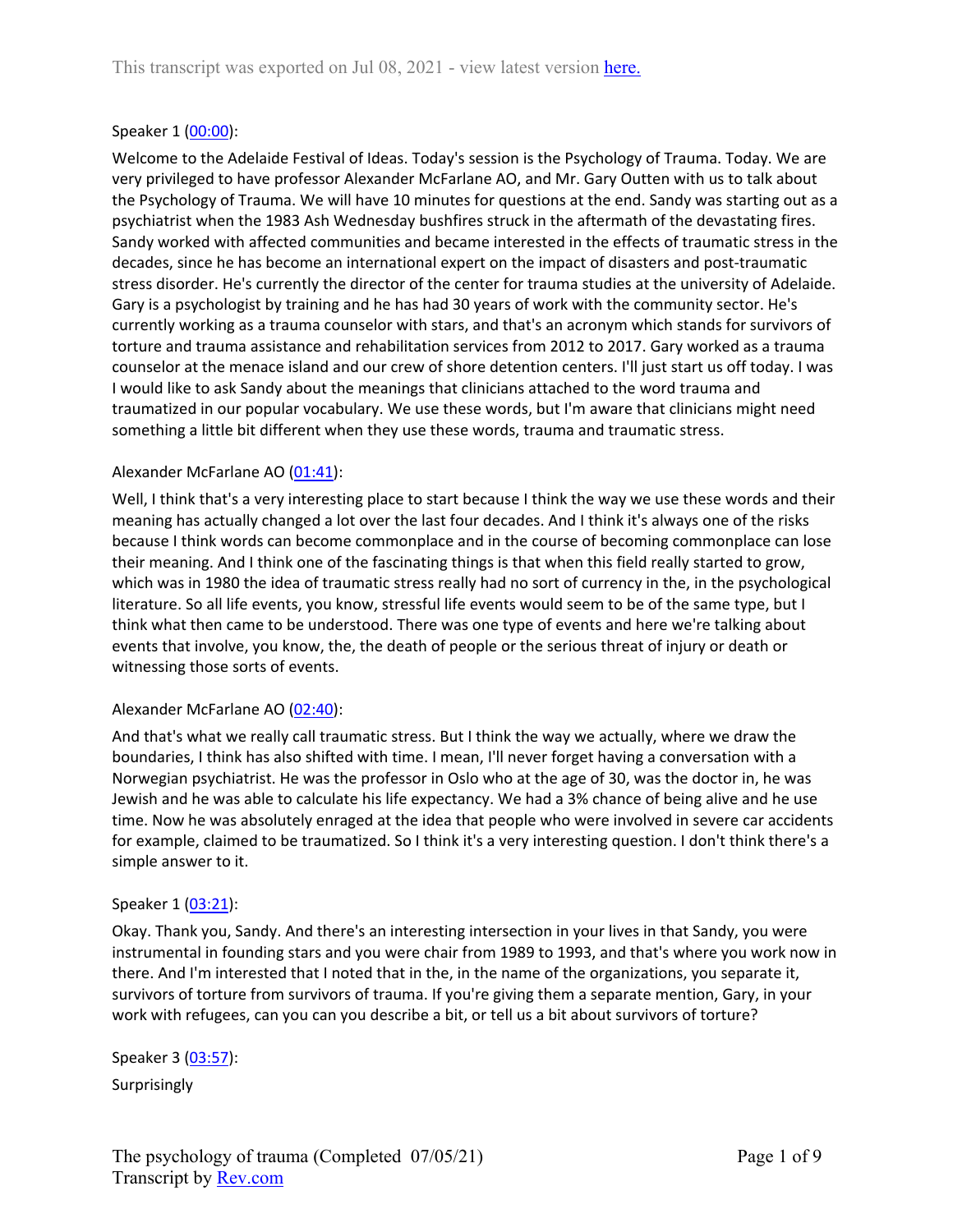## Speaker 1 ([00:00](https://www.rev.com/transcript-editor/Edit?token=QI_DdfWuDt8tcmcpIjNoa1auU_qXcRNLXx6PxH0HhbdMHxWtQyinUXChrf8h6eOSftgEGv4789tqeBmmFgxsTNKodx4&loadFrom=DocumentDeeplink&ts=0.27)):

Welcome to the Adelaide Festival of Ideas. Today's session is the Psychology of Trauma. Today. We are very privileged to have professor Alexander McFarlane AO, and Mr. Gary Outten with us to talk about the Psychology of Trauma. We will have 10 minutes for questions at the end. Sandy was starting out as a psychiatrist when the 1983 Ash Wednesday bushfires struck in the aftermath of the devastating fires. Sandy worked with affected communities and became interested in the effects of traumatic stress in the decades, since he has become an international expert on the impact of disasters and post-traumatic stress disorder. He's currently the director of the center for trauma studies at the university of Adelaide. Gary is a psychologist by training and he has had 30 years of work with the community sector. He's currently working as a trauma counselor with stars, and that's an acronym which stands for survivors of torture and trauma assistance and rehabilitation services from 2012 to 2017. Gary worked as a trauma counselor at the menace island and our crew of shore detention centers. I'll just start us off today. I was I would like to ask Sandy about the meanings that clinicians attached to the word trauma and traumatized in our popular vocabulary. We use these words, but I'm aware that clinicians might need something a little bit different when they use these words, trauma and traumatic stress.

## Alexander McFarlane AO ([01:41](https://www.rev.com/transcript-editor/Edit?token=iadj7ojqnHL9nbhWPmZwb42Q9dy3dE1ZWQNgG3Y4Bw_Xxp636w4uTOj7z_TSkIXIiVve1VWFAjbRRdjsrv8iq7aWmbg&loadFrom=DocumentDeeplink&ts=101.18)):

Well, I think that's a very interesting place to start because I think the way we use these words and their meaning has actually changed a lot over the last four decades. And I think it's always one of the risks because I think words can become commonplace and in the course of becoming commonplace can lose their meaning. And I think one of the fascinating things is that when this field really started to grow, which was in 1980 the idea of traumatic stress really had no sort of currency in the, in the psychological literature. So all life events, you know, stressful life events would seem to be of the same type, but I think what then came to be understood. There was one type of events and here we're talking about events that involve, you know, the, the death of people or the serious threat of injury or death or witnessing those sorts of events.

## Alexander McFarlane AO ([02:40](https://www.rev.com/transcript-editor/Edit?token=smEcu0fYy7Yti08sgfDToPgmx3WuuvLNIJOVBnOYDaFY-x0qpv4tX5zlZlSfc-p_LxwtOA1cklWmH3JAA2Z6xJdnwDU&loadFrom=DocumentDeeplink&ts=160.25)):

And that's what we really call traumatic stress. But I think the way we actually, where we draw the boundaries, I think has also shifted with time. I mean, I'll never forget having a conversation with a Norwegian psychiatrist. He was the professor in Oslo who at the age of 30, was the doctor in, he was Jewish and he was able to calculate his life expectancy. We had a 3% chance of being alive and he use time. Now he was absolutely enraged at the idea that people who were involved in severe car accidents for example, claimed to be traumatized. So I think it's a very interesting question. I don't think there's a simple answer to it.

## Speaker 1 ([03:21](https://www.rev.com/transcript-editor/Edit?token=wNvwRhwVuxIufo9b0wn996vaIVoGjhUVGQKamjPlnJ-hpZVmcP4YxtbBaL_rcS1hIJXK-PGxkOGJUQCtJKNpwm9gHz0&loadFrom=DocumentDeeplink&ts=201.72)):

Okay. Thank you, Sandy. And there's an interesting intersection in your lives in that Sandy, you were instrumental in founding stars and you were chair from 1989 to 1993, and that's where you work now in there. And I'm interested that I noted that in the, in the name of the organizations, you separate it, survivors of torture from survivors of trauma. If you're giving them a separate mention, Gary, in your work with refugees, can you can you describe a bit, or tell us a bit about survivors of torture?

Speaker 3 ([03:57](https://www.rev.com/transcript-editor/Edit?token=uh2vq9RZaMekQgIwyj1xk-W6-5fYsPU0JFIfbYNkqNjn1fIhygPMxrQ6nypUYmcEebT3IcIwt_YQW-iwpRabMVDoNso&loadFrom=DocumentDeeplink&ts=237.09)): Surprisingly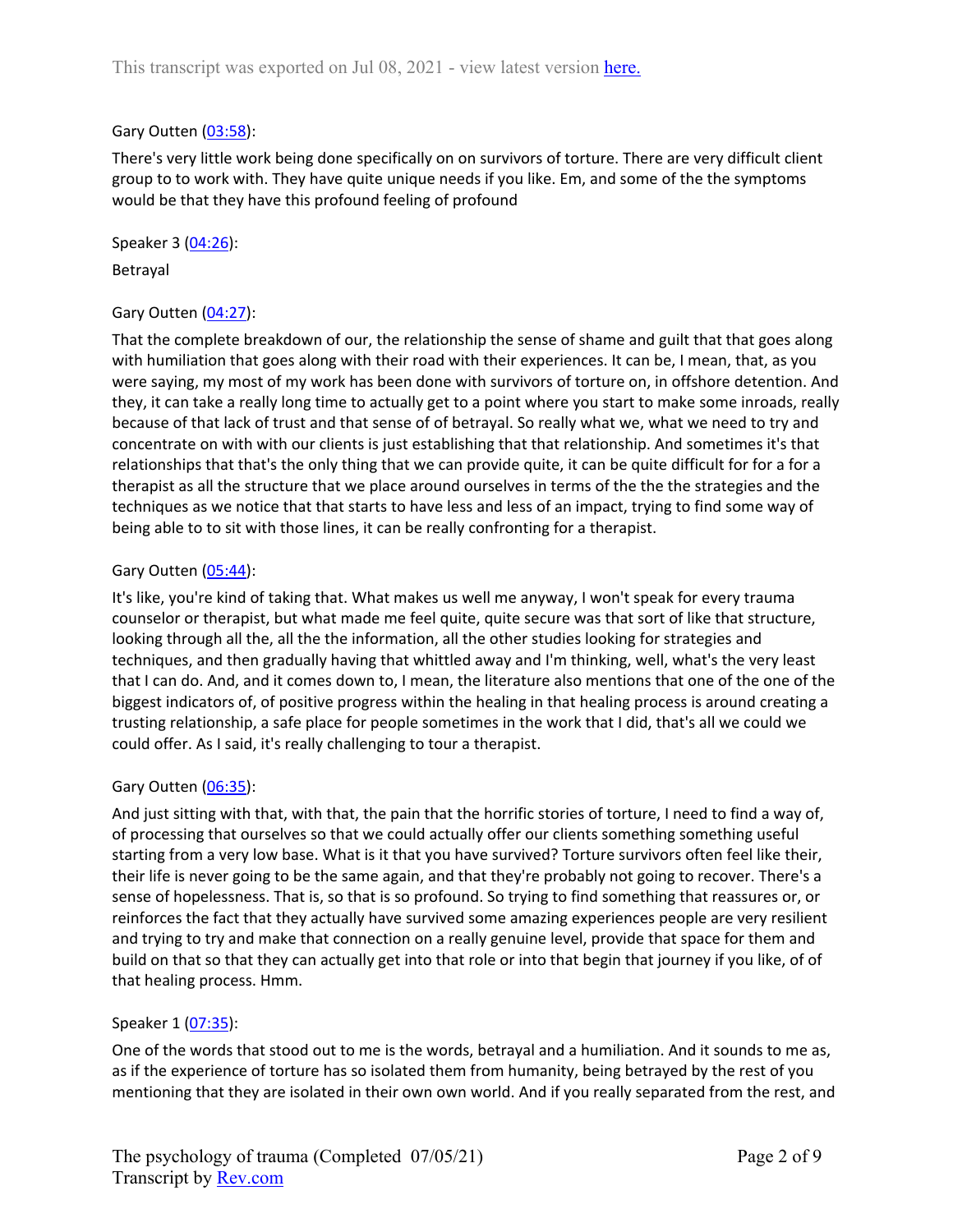## Gary Outten [\(03:58](https://www.rev.com/transcript-editor/Edit?token=Thr-yXj0feNp3vqBNLxSxQKJuX4KnmV_OYUI17MsAixjbLe1zQ5mxI86EwpryssZJ5owJbrbSnKk1nTIqJqNXd9zgDI&loadFrom=DocumentDeeplink&ts=238.68)):

There's very little work being done specifically on on survivors of torture. There are very difficult client group to to work with. They have quite unique needs if you like. Em, and some of the the symptoms would be that they have this profound feeling of profound

Speaker 3 ([04:26](https://www.rev.com/transcript-editor/Edit?token=2R_F38B8Rr90oOuZbhcOZMS_syHFubS4RsJR_wJmvganCIT3X8FQYIcj6JcbpPJsudk7_rW-Ze6CzznFeS-EqK4Qpok&loadFrom=DocumentDeeplink&ts=266.03)):

Betrayal

## Gary Outten [\(04:27](https://www.rev.com/transcript-editor/Edit?token=v8zqK1Q9VVHThJ6M0hTqgIwNGDwIIF0Trb5h8x24dMmNoITj1jqZ-1e35aOUeCWPPxdVz8Sjdhi2p_P3SDVCR-9R6Pc&loadFrom=DocumentDeeplink&ts=267.96)):

That the complete breakdown of our, the relationship the sense of shame and guilt that that goes along with humiliation that goes along with their road with their experiences. It can be, I mean, that, as you were saying, my most of my work has been done with survivors of torture on, in offshore detention. And they, it can take a really long time to actually get to a point where you start to make some inroads, really because of that lack of trust and that sense of of betrayal. So really what we, what we need to try and concentrate on with with our clients is just establishing that that relationship. And sometimes it's that relationships that that's the only thing that we can provide quite, it can be quite difficult for for a for a therapist as all the structure that we place around ourselves in terms of the the the strategies and the techniques as we notice that that starts to have less and less of an impact, trying to find some way of being able to to sit with those lines, it can be really confronting for a therapist.

## Gary Outten [\(05:44](https://www.rev.com/transcript-editor/Edit?token=a-z4R70hnJw4vaGhDOe6G-Cc7hajH9pyYhMNTtRSHMgiaPvJO04fhQ7EUNu3QJm2g5tLj4mW6CxlkE8OengBOcOa1d0&loadFrom=DocumentDeeplink&ts=344.43)):

It's like, you're kind of taking that. What makes us well me anyway, I won't speak for every trauma counselor or therapist, but what made me feel quite, quite secure was that sort of like that structure, looking through all the, all the the information, all the other studies looking for strategies and techniques, and then gradually having that whittled away and I'm thinking, well, what's the very least that I can do. And, and it comes down to, I mean, the literature also mentions that one of the one of the biggest indicators of, of positive progress within the healing in that healing process is around creating a trusting relationship, a safe place for people sometimes in the work that I did, that's all we could we could offer. As I said, it's really challenging to tour a therapist.

## Gary Outten [\(06:35](https://www.rev.com/transcript-editor/Edit?token=L0xvVcn8NBUvk6jZKNPJ738iRl_YJwLfr3skSQxBe7M2OGerfQVorWzzLrgAzRJNFem-oBlCbfO-qisHHryu_J572LA&loadFrom=DocumentDeeplink&ts=395.48)):

And just sitting with that, with that, the pain that the horrific stories of torture, I need to find a way of, of processing that ourselves so that we could actually offer our clients something something useful starting from a very low base. What is it that you have survived? Torture survivors often feel like their, their life is never going to be the same again, and that they're probably not going to recover. There's a sense of hopelessness. That is, so that is so profound. So trying to find something that reassures or, or reinforces the fact that they actually have survived some amazing experiences people are very resilient and trying to try and make that connection on a really genuine level, provide that space for them and build on that so that they can actually get into that role or into that begin that journey if you like, of of that healing process. Hmm.

## Speaker 1 ([07:35](https://www.rev.com/transcript-editor/Edit?token=NGSzjzVa-f09oCWTvu9UVRWqU0xTGtovo02jtaFTbrNl7NAX7Lv-1-C4_g8RwkegfvFzLmwAc4Y97r8_6W1ghWOf5J0&loadFrom=DocumentDeeplink&ts=455.531)):

One of the words that stood out to me is the words, betrayal and a humiliation. And it sounds to me as, as if the experience of torture has so isolated them from humanity, being betrayed by the rest of you mentioning that they are isolated in their own own world. And if you really separated from the rest, and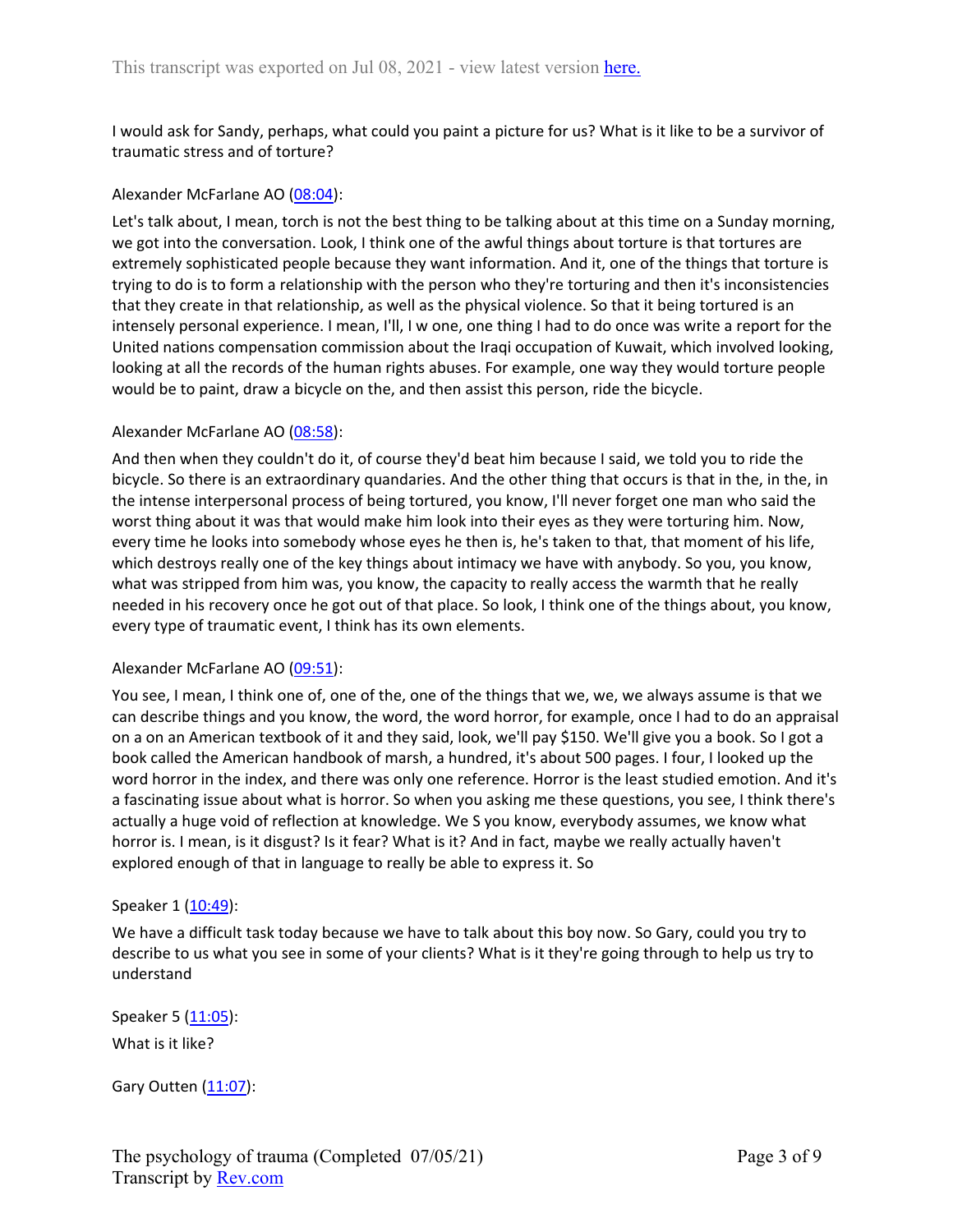I would ask for Sandy, perhaps, what could you paint a picture for us? What is it like to be a survivor of traumatic stress and of torture?

## Alexander McFarlane AO ([08:04](https://www.rev.com/transcript-editor/Edit?token=NS4_8vsFMBPgcEheoGMj_y_tESxt35xfavqxpjkgFTUUMplHnoC5hXSbld-l-Ah8fFSpt7huUIlD3VOfyQhW8BW7ROg&loadFrom=DocumentDeeplink&ts=484.75)):

Let's talk about, I mean, torch is not the best thing to be talking about at this time on a Sunday morning, we got into the conversation. Look, I think one of the awful things about torture is that tortures are extremely sophisticated people because they want information. And it, one of the things that torture is trying to do is to form a relationship with the person who they're torturing and then it's inconsistencies that they create in that relationship, as well as the physical violence. So that it being tortured is an intensely personal experience. I mean, I'll, I w one, one thing I had to do once was write a report for the United nations compensation commission about the Iraqi occupation of Kuwait, which involved looking, looking at all the records of the human rights abuses. For example, one way they would torture people would be to paint, draw a bicycle on the, and then assist this person, ride the bicycle.

#### Alexander McFarlane AO ([08:58](https://www.rev.com/transcript-editor/Edit?token=tEWWrJDqyuJUuHQIAZ9AsckjfeRArJZrXFaFdbTwZOiApcDCK4FMy00NgEihBxH3T3CbRMj2CBw-0SFWL3hjftR4WLw&loadFrom=DocumentDeeplink&ts=538.29)):

And then when they couldn't do it, of course they'd beat him because I said, we told you to ride the bicycle. So there is an extraordinary quandaries. And the other thing that occurs is that in the, in the, in the intense interpersonal process of being tortured, you know, I'll never forget one man who said the worst thing about it was that would make him look into their eyes as they were torturing him. Now, every time he looks into somebody whose eyes he then is, he's taken to that, that moment of his life, which destroys really one of the key things about intimacy we have with anybody. So you, you know, what was stripped from him was, you know, the capacity to really access the warmth that he really needed in his recovery once he got out of that place. So look, I think one of the things about, you know, every type of traumatic event, I think has its own elements.

## Alexander McFarlane AO ([09:51](https://www.rev.com/transcript-editor/Edit?token=apgnSKY14mAPxvZy1aJyS1KAaj0f5zRJGcwYHlcQVH6zTGdvAHLyVclxjTPpHNwn6lg0c_6Sz3YQZ4qKQ0PQeUnv4KQ&loadFrom=DocumentDeeplink&ts=591.09)):

You see, I mean, I think one of, one of the, one of the things that we, we, we always assume is that we can describe things and you know, the word, the word horror, for example, once I had to do an appraisal on a on an American textbook of it and they said, look, we'll pay \$150. We'll give you a book. So I got a book called the American handbook of marsh, a hundred, it's about 500 pages. I four, I looked up the word horror in the index, and there was only one reference. Horror is the least studied emotion. And it's a fascinating issue about what is horror. So when you asking me these questions, you see, I think there's actually a huge void of reflection at knowledge. We S you know, everybody assumes, we know what horror is. I mean, is it disgust? Is it fear? What is it? And in fact, maybe we really actually haven't explored enough of that in language to really be able to express it. So

## Speaker 1 ([10:49](https://www.rev.com/transcript-editor/Edit?token=ZNynV6-DX1SfbLZiYxS-38b9LKQE8Loe9pZyNonI6WEZ8_AXxu96v3xGJ6vmo0U_6TALjKtAVUwXEhTz5XLU7UyaUjk&loadFrom=DocumentDeeplink&ts=649.58)):

We have a difficult task today because we have to talk about this boy now. So Gary, could you try to describe to us what you see in some of your clients? What is it they're going through to help us try to understand

Speaker 5 ([11:05](https://www.rev.com/transcript-editor/Edit?token=Y2HjaVnM_9QkRJ2QJ9Rb1qqryy6fR6ND5c2J63x4uFc7a1hVpLTvQ2BY8ppEuHlbyuOXs7F-LmJq3te-Aw5v-7caPY0&loadFrom=DocumentDeeplink&ts=665.36)): What is it like?

Gary Outten [\(11:07](https://www.rev.com/transcript-editor/Edit?token=xg9zwwhWy8CEtdbSyR6b_bzz5wEK44ay5kqcnIrttnFvK07uEhbivpXQte5uWcDjgCTSKsJ1ueVWXnOKLhDOfGWIKbg&loadFrom=DocumentDeeplink&ts=667.74)):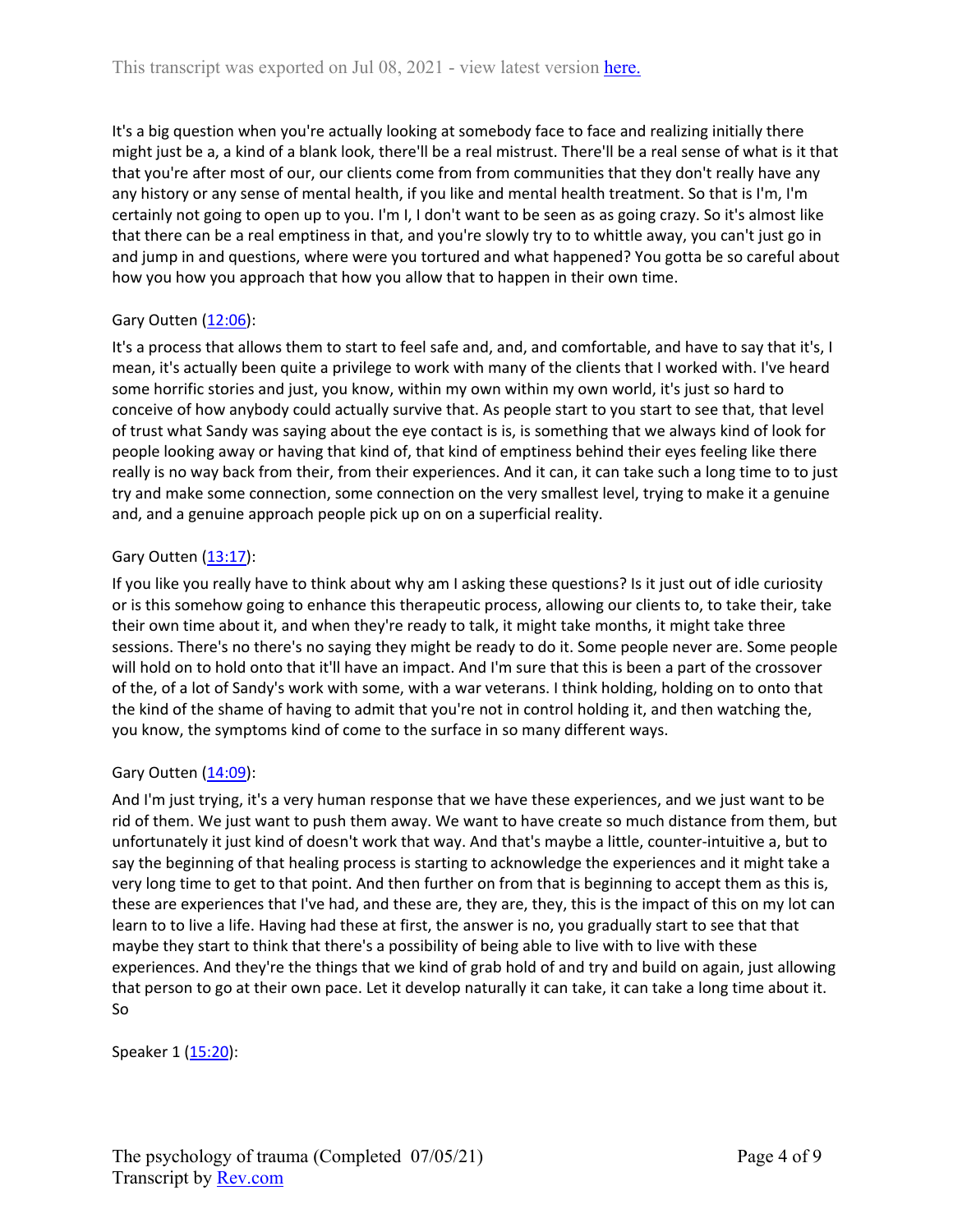It's a big question when you're actually looking at somebody face to face and realizing initially there might just be a, a kind of a blank look, there'll be a real mistrust. There'll be a real sense of what is it that that you're after most of our, our clients come from from communities that they don't really have any any history or any sense of mental health, if you like and mental health treatment. So that is I'm, I'm certainly not going to open up to you. I'm I, I don't want to be seen as as going crazy. So it's almost like that there can be a real emptiness in that, and you're slowly try to to whittle away, you can't just go in and jump in and questions, where were you tortured and what happened? You gotta be so careful about how you how you approach that how you allow that to happen in their own time.

# Gary Outten [\(12:06](https://www.rev.com/transcript-editor/Edit?token=TAfCyyDL8xww6IeOSDDrT-fvULUxfzxTy729ubec-OTAQBKjLHEXxUZnGyV4N_lWVsKnxwRS3p7TywN324JYfBBXjmU&loadFrom=DocumentDeeplink&ts=726.46)):

It's a process that allows them to start to feel safe and, and, and comfortable, and have to say that it's, I mean, it's actually been quite a privilege to work with many of the clients that I worked with. I've heard some horrific stories and just, you know, within my own within my own world, it's just so hard to conceive of how anybody could actually survive that. As people start to you start to see that, that level of trust what Sandy was saying about the eye contact is is, is something that we always kind of look for people looking away or having that kind of, that kind of emptiness behind their eyes feeling like there really is no way back from their, from their experiences. And it can, it can take such a long time to to just try and make some connection, some connection on the very smallest level, trying to make it a genuine and, and a genuine approach people pick up on on a superficial reality.

# Gary Outten [\(13:17](https://www.rev.com/transcript-editor/Edit?token=DaIRhCl8s9P7IpZGJF2uHpZQd15N4mjBRt2-ko9lJx3c5QmuNCrAQVdHIWmXpJyKlhf00zGUAyXxubAkU78E5xY76l0&loadFrom=DocumentDeeplink&ts=797.02)):

If you like you really have to think about why am I asking these questions? Is it just out of idle curiosity or is this somehow going to enhance this therapeutic process, allowing our clients to, to take their, take their own time about it, and when they're ready to talk, it might take months, it might take three sessions. There's no there's no saying they might be ready to do it. Some people never are. Some people will hold on to hold onto that it'll have an impact. And I'm sure that this is been a part of the crossover of the, of a lot of Sandy's work with some, with a war veterans. I think holding, holding on to onto that the kind of the shame of having to admit that you're not in control holding it, and then watching the, you know, the symptoms kind of come to the surface in so many different ways.

# Gary Outten [\(14:09](https://www.rev.com/transcript-editor/Edit?token=iH9fvonSsc1yZP9g7R1nsX5fEO2N1DkgHKQ9exOgq663rpbQkdvvShO2v49L1yh8U1ENO99NLprRx2dJdJCa9nQwjJw&loadFrom=DocumentDeeplink&ts=849.49)):

And I'm just trying, it's a very human response that we have these experiences, and we just want to be rid of them. We just want to push them away. We want to have create so much distance from them, but unfortunately it just kind of doesn't work that way. And that's maybe a little, counter-intuitive a, but to say the beginning of that healing process is starting to acknowledge the experiences and it might take a very long time to get to that point. And then further on from that is beginning to accept them as this is, these are experiences that I've had, and these are, they are, they, this is the impact of this on my lot can learn to to live a life. Having had these at first, the answer is no, you gradually start to see that that maybe they start to think that there's a possibility of being able to live with to live with these experiences. And they're the things that we kind of grab hold of and try and build on again, just allowing that person to go at their own pace. Let it develop naturally it can take, it can take a long time about it. So

Speaker 1 ([15:20](https://www.rev.com/transcript-editor/Edit?token=u7_6w20m1tv50hf1Ie4cvQn7NeEchNxPq4W3iYoPIAC-IS-TSTYe3oqXFME2EO1UyOoNsjT1lIx_gx6Ix7u6GR0ZnaU&loadFrom=DocumentDeeplink&ts=920.86)):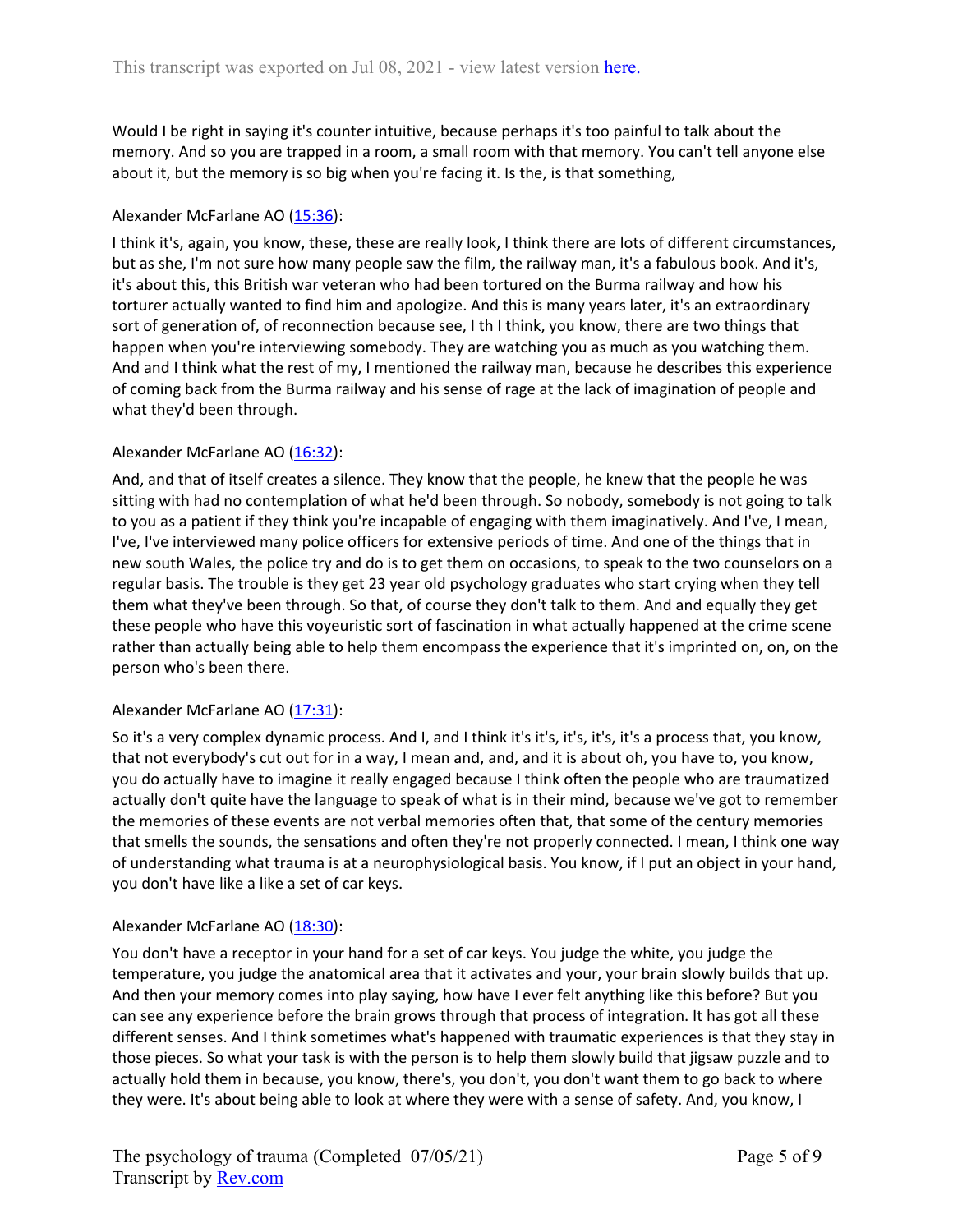Would I be right in saying it's counter intuitive, because perhaps it's too painful to talk about the memory. And so you are trapped in a room, a small room with that memory. You can't tell anyone else about it, but the memory is so big when you're facing it. Is the, is that something,

## Alexander McFarlane AO ([15:36](https://www.rev.com/transcript-editor/Edit?token=8KnL6-7npqwUuwUPrqAjawvQg5QoeBUiFxztcIDCoCpq0G0kxzDxS_EZQvoQcwTjb2qT6PSizJ21bQUdb9U8ueh7MbM&loadFrom=DocumentDeeplink&ts=936.88)):

I think it's, again, you know, these, these are really look, I think there are lots of different circumstances, but as she, I'm not sure how many people saw the film, the railway man, it's a fabulous book. And it's, it's about this, this British war veteran who had been tortured on the Burma railway and how his torturer actually wanted to find him and apologize. And this is many years later, it's an extraordinary sort of generation of, of reconnection because see, I th I think, you know, there are two things that happen when you're interviewing somebody. They are watching you as much as you watching them. And and I think what the rest of my, I mentioned the railway man, because he describes this experience of coming back from the Burma railway and his sense of rage at the lack of imagination of people and what they'd been through.

## Alexander McFarlane AO ([16:32](https://www.rev.com/transcript-editor/Edit?token=-azWxCaS7eucJZn44acnsH5f5cPWv9Lk66ZMpk4c3RncsEJhqoR3Lpo6HVcCTNtxM6Ez19UdddH82W8Rqr0xjc_0whE&loadFrom=DocumentDeeplink&ts=992.88)):

And, and that of itself creates a silence. They know that the people, he knew that the people he was sitting with had no contemplation of what he'd been through. So nobody, somebody is not going to talk to you as a patient if they think you're incapable of engaging with them imaginatively. And I've, I mean, I've, I've interviewed many police officers for extensive periods of time. And one of the things that in new south Wales, the police try and do is to get them on occasions, to speak to the two counselors on a regular basis. The trouble is they get 23 year old psychology graduates who start crying when they tell them what they've been through. So that, of course they don't talk to them. And and equally they get these people who have this voyeuristic sort of fascination in what actually happened at the crime scene rather than actually being able to help them encompass the experience that it's imprinted on, on, on the person who's been there.

## Alexander McFarlane AO ([17:31](https://www.rev.com/transcript-editor/Edit?token=XGrG9AdDz8fKrLHcbHm6-Q462onV__4zeelsNLjQQNxGAx2ExOEDidJnD0v3rINJ51defWcIeAX-TwyXohGYrou0_MI&loadFrom=DocumentDeeplink&ts=1051.57)):

So it's a very complex dynamic process. And I, and I think it's it's, it's, it's, it's a process that, you know, that not everybody's cut out for in a way, I mean and, and, and it is about oh, you have to, you know, you do actually have to imagine it really engaged because I think often the people who are traumatized actually don't quite have the language to speak of what is in their mind, because we've got to remember the memories of these events are not verbal memories often that, that some of the century memories that smells the sounds, the sensations and often they're not properly connected. I mean, I think one way of understanding what trauma is at a neurophysiological basis. You know, if I put an object in your hand, you don't have like a like a set of car keys.

## Alexander McFarlane AO ([18:30](https://www.rev.com/transcript-editor/Edit?token=FblusWIyW6-IxU2KpvQ-e4CrLmAXV4QELYhrSFaRMs4k7asnd1ERvaRGuIw43X4MfAMEEIT7e9mTGgAroZHafQ9q5vQ&loadFrom=DocumentDeeplink&ts=1110.63)):

You don't have a receptor in your hand for a set of car keys. You judge the white, you judge the temperature, you judge the anatomical area that it activates and your, your brain slowly builds that up. And then your memory comes into play saying, how have I ever felt anything like this before? But you can see any experience before the brain grows through that process of integration. It has got all these different senses. And I think sometimes what's happened with traumatic experiences is that they stay in those pieces. So what your task is with the person is to help them slowly build that jigsaw puzzle and to actually hold them in because, you know, there's, you don't, you don't want them to go back to where they were. It's about being able to look at where they were with a sense of safety. And, you know, I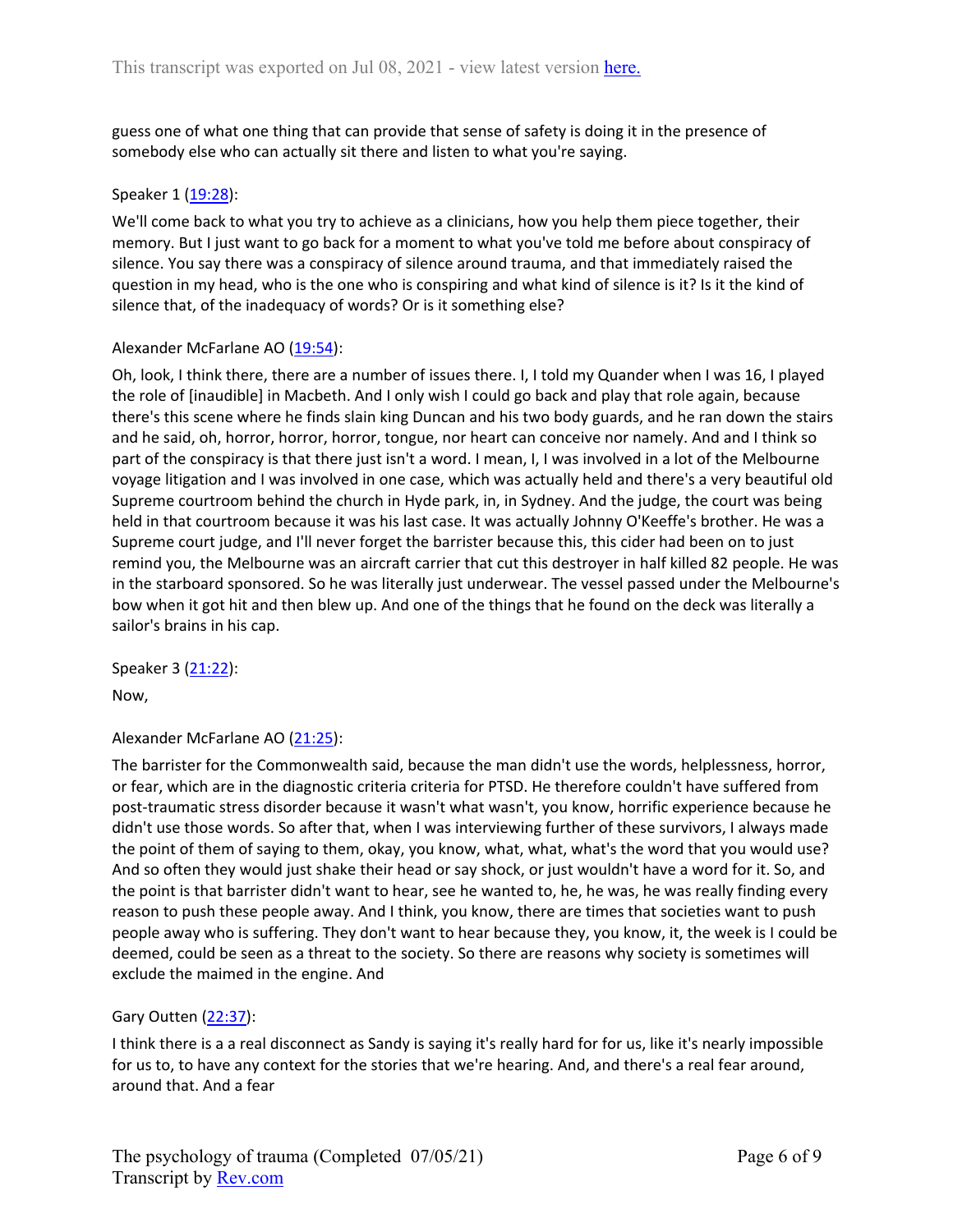guess one of what one thing that can provide that sense of safety is doing it in the presence of somebody else who can actually sit there and listen to what you're saying.

#### Speaker 1 ([19:28](https://www.rev.com/transcript-editor/Edit?token=tldm7PvXCZX11Ld6aIyQqpu7jDd9pFVfY0UHyEljiMO3eqszlMKT2hsnJX12xXLyRbgotB8BOFMu397S0YEoa7RaM40&loadFrom=DocumentDeeplink&ts=1168.13)):

We'll come back to what you try to achieve as a clinicians, how you help them piece together, their memory. But I just want to go back for a moment to what you've told me before about conspiracy of silence. You say there was a conspiracy of silence around trauma, and that immediately raised the question in my head, who is the one who is conspiring and what kind of silence is it? Is it the kind of silence that, of the inadequacy of words? Or is it something else?

#### Alexander McFarlane AO ([19:54](https://www.rev.com/transcript-editor/Edit?token=oAYKCrEuZJwWfQjf9t-i9lsj_gAA4-EPvk2RhE6sEsmFaN3CpPFVWEMS0Ew4CnxnA_RJemXx3E470LT2B1l6Nhai-Bk&loadFrom=DocumentDeeplink&ts=1194.2)):

Oh, look, I think there, there are a number of issues there. I, I told my Quander when I was 16, I played the role of [inaudible] in Macbeth. And I only wish I could go back and play that role again, because there's this scene where he finds slain king Duncan and his two body guards, and he ran down the stairs and he said, oh, horror, horror, horror, tongue, nor heart can conceive nor namely. And and I think so part of the conspiracy is that there just isn't a word. I mean, I, I was involved in a lot of the Melbourne voyage litigation and I was involved in one case, which was actually held and there's a very beautiful old Supreme courtroom behind the church in Hyde park, in, in Sydney. And the judge, the court was being held in that courtroom because it was his last case. It was actually Johnny O'Keeffe's brother. He was a Supreme court judge, and I'll never forget the barrister because this, this cider had been on to just remind you, the Melbourne was an aircraft carrier that cut this destroyer in half killed 82 people. He was in the starboard sponsored. So he was literally just underwear. The vessel passed under the Melbourne's bow when it got hit and then blew up. And one of the things that he found on the deck was literally a sailor's brains in his cap.

Speaker 3 ([21:22](https://www.rev.com/transcript-editor/Edit?token=o0R1ffASYNS0nteggbrgDfnimIJCBRUc6ybxczL76aHusTJ2j582NfDGEcSTzmh7SJjCnCSmUoYYycrKKDNFwMYaMgE&loadFrom=DocumentDeeplink&ts=1282.81)):

Now,

## Alexander McFarlane AO ([21:25](https://www.rev.com/transcript-editor/Edit?token=wcDmPyBR9AaktxRNS3UFWOLSyisRHBokrcN_jaqBYcEs8s4xlJd1O3_3YPiNKRmtmYp_ozlMznwv5AAEiQ1hIv9QyeM&loadFrom=DocumentDeeplink&ts=1285)):

The barrister for the Commonwealth said, because the man didn't use the words, helplessness, horror, or fear, which are in the diagnostic criteria criteria for PTSD. He therefore couldn't have suffered from post-traumatic stress disorder because it wasn't what wasn't, you know, horrific experience because he didn't use those words. So after that, when I was interviewing further of these survivors, I always made the point of them of saying to them, okay, you know, what, what, what's the word that you would use? And so often they would just shake their head or say shock, or just wouldn't have a word for it. So, and the point is that barrister didn't want to hear, see he wanted to, he, he was, he was really finding every reason to push these people away. And I think, you know, there are times that societies want to push people away who is suffering. They don't want to hear because they, you know, it, the week is I could be deemed, could be seen as a threat to the society. So there are reasons why society is sometimes will exclude the maimed in the engine. And

## Gary Outten [\(22:37](https://www.rev.com/transcript-editor/Edit?token=3J5IfBLxd6qQ_0amXuqPwC2_YguH9HXEmlYI0HZrlP0OG9vEdB4ToaPng4kS_xCn7ejWdIFSzMFkocU0l8ANV3yK7EA&loadFrom=DocumentDeeplink&ts=1357.5)):

I think there is a a real disconnect as Sandy is saying it's really hard for for us, like it's nearly impossible for us to, to have any context for the stories that we're hearing. And, and there's a real fear around, around that. And a fear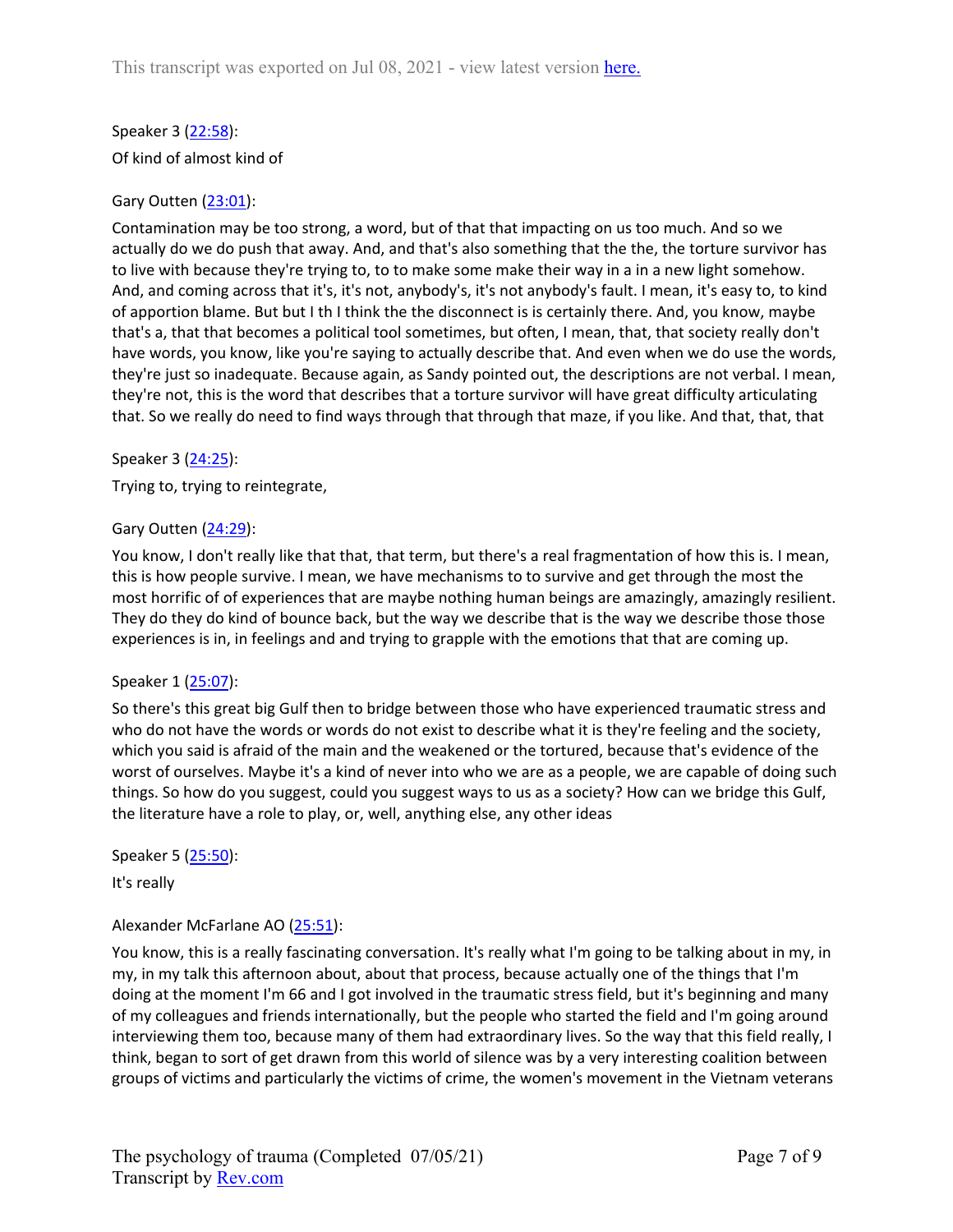Speaker 3 ([22:58](https://www.rev.com/transcript-editor/Edit?token=xkDaMCasxp3l8fEx59S7V-t5RPgOi_0WQRw5d1oa56XDYqJ75QX6_xLF1KD3dYFItrH4IKtFthxAjdh7qBGJ3W2la8I&loadFrom=DocumentDeeplink&ts=1378.65)): Of kind of almost kind of

# Gary Outten [\(23:01](https://www.rev.com/transcript-editor/Edit?token=VOn-WeoeIzo8EqJurVHq9KyjMPPqQMYcwatzT2Aqv4-dpooFma_HPGu_efCNu3MphOfDrxX_Z7wCNfjbZMTHYgeTon4&loadFrom=DocumentDeeplink&ts=1381.14)):

Contamination may be too strong, a word, but of that that impacting on us too much. And so we actually do we do push that away. And, and that's also something that the the, the torture survivor has to live with because they're trying to, to to make some make their way in a in a new light somehow. And, and coming across that it's, it's not, anybody's, it's not anybody's fault. I mean, it's easy to, to kind of apportion blame. But but I th I think the the disconnect is is certainly there. And, you know, maybe that's a, that that becomes a political tool sometimes, but often, I mean, that, that society really don't have words, you know, like you're saying to actually describe that. And even when we do use the words, they're just so inadequate. Because again, as Sandy pointed out, the descriptions are not verbal. I mean, they're not, this is the word that describes that a torture survivor will have great difficulty articulating that. So we really do need to find ways through that through that maze, if you like. And that, that, that

Speaker 3 ([24:25](https://www.rev.com/transcript-editor/Edit?token=dkEl5UbY29wXkzOU1GLA1-dQ01gLFEakkMXXo_W4mXzPf4hUGxuwDVTQcSDw1GzncZxqOcOMyeugrjfrTjL7La-QSdg&loadFrom=DocumentDeeplink&ts=1465.49)):

Trying to, trying to reintegrate,

## Gary Outten [\(24:29](https://www.rev.com/transcript-editor/Edit?token=uYYOSkPUe0xKXBkbWQ6HSmOFLubBr3HYfOQ8O9Wn-nENLdHz3zutvJa9CJhP9uoRzzqs8sSmTJjiIrvCErQSbcZRSDI&loadFrom=DocumentDeeplink&ts=1469.09)):

You know, I don't really like that that, that term, but there's a real fragmentation of how this is. I mean, this is how people survive. I mean, we have mechanisms to to survive and get through the most the most horrific of of experiences that are maybe nothing human beings are amazingly, amazingly resilient. They do they do kind of bounce back, but the way we describe that is the way we describe those those experiences is in, in feelings and and trying to grapple with the emotions that that are coming up.

## Speaker 1 ([25:07](https://www.rev.com/transcript-editor/Edit?token=V68vXCJex9nYo1cBXZKdwel_US4YgeO9x4b8Ouaw87bjMiUqXYUNX5ohkyAeLmLyWREl1g9SIGdZaospHHfU11O8ZZU&loadFrom=DocumentDeeplink&ts=1507.72)):

So there's this great big Gulf then to bridge between those who have experienced traumatic stress and who do not have the words or words do not exist to describe what it is they're feeling and the society, which you said is afraid of the main and the weakened or the tortured, because that's evidence of the worst of ourselves. Maybe it's a kind of never into who we are as a people, we are capable of doing such things. So how do you suggest, could you suggest ways to us as a society? How can we bridge this Gulf, the literature have a role to play, or, well, anything else, any other ideas

Speaker 5 ([25:50](https://www.rev.com/transcript-editor/Edit?token=tMqYH55MYsBvulMpuvs8T9P_i7ZMIGB-v_t6-5M5wjqEoFcC0rssam9JlzL_Ui0maHJmd-VQ2CjiXuQxQn4f_2x104w&loadFrom=DocumentDeeplink&ts=1550.38)):

It's really

# Alexander McFarlane AO ([25:51](https://www.rev.com/transcript-editor/Edit?token=l6oyKkkDIhIhJQddoN-Y41FPvBUR27dZR77WXismL3LRYVPi_QPY-kwXhmwABHE08izlutZ7PnAJcsntlrSWu6EsBXE&loadFrom=DocumentDeeplink&ts=1551.3)):

You know, this is a really fascinating conversation. It's really what I'm going to be talking about in my, in my, in my talk this afternoon about, about that process, because actually one of the things that I'm doing at the moment I'm 66 and I got involved in the traumatic stress field, but it's beginning and many of my colleagues and friends internationally, but the people who started the field and I'm going around interviewing them too, because many of them had extraordinary lives. So the way that this field really, I think, began to sort of get drawn from this world of silence was by a very interesting coalition between groups of victims and particularly the victims of crime, the women's movement in the Vietnam veterans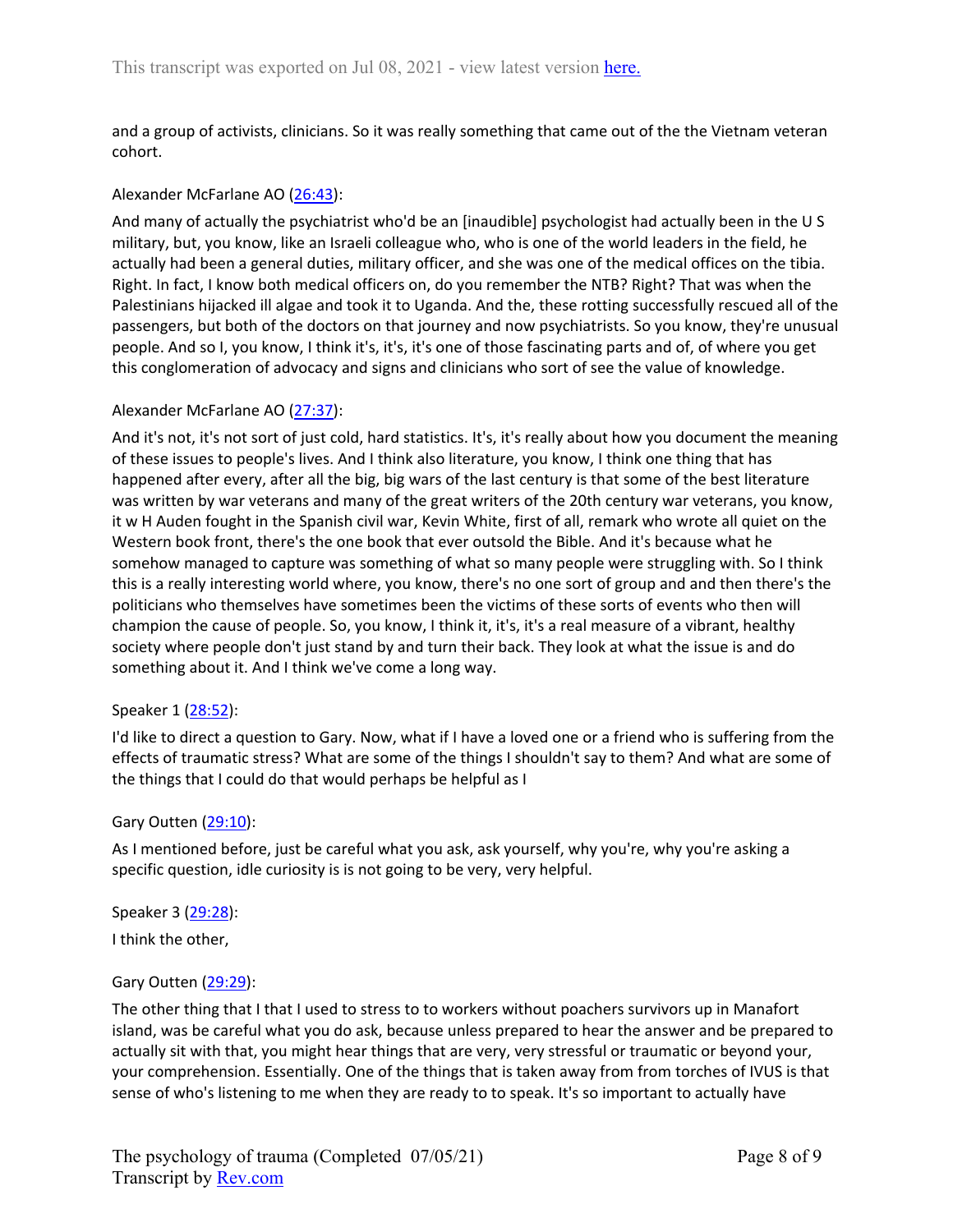and a group of activists, clinicians. So it was really something that came out of the the Vietnam veteran cohort.

## Alexander McFarlane AO ([26:43](https://www.rev.com/transcript-editor/Edit?token=cgv5XeNfqW_hAE_tQjFFZ45lkhGN0AI2tcR44LaKJgB7F-ShVMwlG-TfSdfTRq4sEa4vMPs9WdiUTyXGr-7xSiCLY_A&loadFrom=DocumentDeeplink&ts=1603.1)):

And many of actually the psychiatrist who'd be an [inaudible] psychologist had actually been in the U S military, but, you know, like an Israeli colleague who, who is one of the world leaders in the field, he actually had been a general duties, military officer, and she was one of the medical offices on the tibia. Right. In fact, I know both medical officers on, do you remember the NTB? Right? That was when the Palestinians hijacked ill algae and took it to Uganda. And the, these rotting successfully rescued all of the passengers, but both of the doctors on that journey and now psychiatrists. So you know, they're unusual people. And so I, you know, I think it's, it's, it's one of those fascinating parts and of, of where you get this conglomeration of advocacy and signs and clinicians who sort of see the value of knowledge.

## Alexander McFarlane AO ([27:37](https://www.rev.com/transcript-editor/Edit?token=RmoRJVj98up303YT3mexfJZhXR3I3TCxyoCaCid7VddLEb2IVUJmgiW3kFSifCqAR3QjB-hLxuEc5DKIDBmMeDMlGK0&loadFrom=DocumentDeeplink&ts=1657.65)):

And it's not, it's not sort of just cold, hard statistics. It's, it's really about how you document the meaning of these issues to people's lives. And I think also literature, you know, I think one thing that has happened after every, after all the big, big wars of the last century is that some of the best literature was written by war veterans and many of the great writers of the 20th century war veterans, you know, it w H Auden fought in the Spanish civil war, Kevin White, first of all, remark who wrote all quiet on the Western book front, there's the one book that ever outsold the Bible. And it's because what he somehow managed to capture was something of what so many people were struggling with. So I think this is a really interesting world where, you know, there's no one sort of group and and then there's the politicians who themselves have sometimes been the victims of these sorts of events who then will champion the cause of people. So, you know, I think it, it's, it's a real measure of a vibrant, healthy society where people don't just stand by and turn their back. They look at what the issue is and do something about it. And I think we've come a long way.

## Speaker 1 ([28:52](https://www.rev.com/transcript-editor/Edit?token=yaFJcpgSngNl-bfH2SYOCRQmqOEvHLqgEGrCzlZqNLvd4BgOE6bG9ahJiYp-6PpnMyhFEh-nFbgiF67abCZXsPicqDE&loadFrom=DocumentDeeplink&ts=1732.07)):

I'd like to direct a question to Gary. Now, what if I have a loved one or a friend who is suffering from the effects of traumatic stress? What are some of the things I shouldn't say to them? And what are some of the things that I could do that would perhaps be helpful as I

## Gary Outten [\(29:10](https://www.rev.com/transcript-editor/Edit?token=EqmMLg52Te1KaQK6iEEy3v6uvTtc6SSYcVgW7vXvlMPhyLpjvxVdmmMrnspJxex5t0J0TGe3oEU8PqzWhxMFhzQ-z-g&loadFrom=DocumentDeeplink&ts=1750.58)):

As I mentioned before, just be careful what you ask, ask yourself, why you're, why you're asking a specific question, idle curiosity is is not going to be very, very helpful.

# Speaker 3 ([29:28](https://www.rev.com/transcript-editor/Edit?token=iL8ZQJC_z2RSiUX4o91ZkLpIiujqQRj4NAnMseKEw-6_Qi0jp0gguzT1IhlX3q2XIeQAYoNuNPNSF80Mj4Ze7bqm5Hk&loadFrom=DocumentDeeplink&ts=1768.43)):

I think the other,

## Gary Outten [\(29:29](https://www.rev.com/transcript-editor/Edit?token=Giy7zY9oJ_hirtnUIYCTGMt6kJeCCGCfBfF2Yd9r_6cgoCzq7n68v9lY5UYgp3Dj97l4oT9Ukr__rHb0O0Nt-k-C1y4&loadFrom=DocumentDeeplink&ts=1769.33)):

The other thing that I that I used to stress to to workers without poachers survivors up in Manafort island, was be careful what you do ask, because unless prepared to hear the answer and be prepared to actually sit with that, you might hear things that are very, very stressful or traumatic or beyond your, your comprehension. Essentially. One of the things that is taken away from from torches of IVUS is that sense of who's listening to me when they are ready to to speak. It's so important to actually have